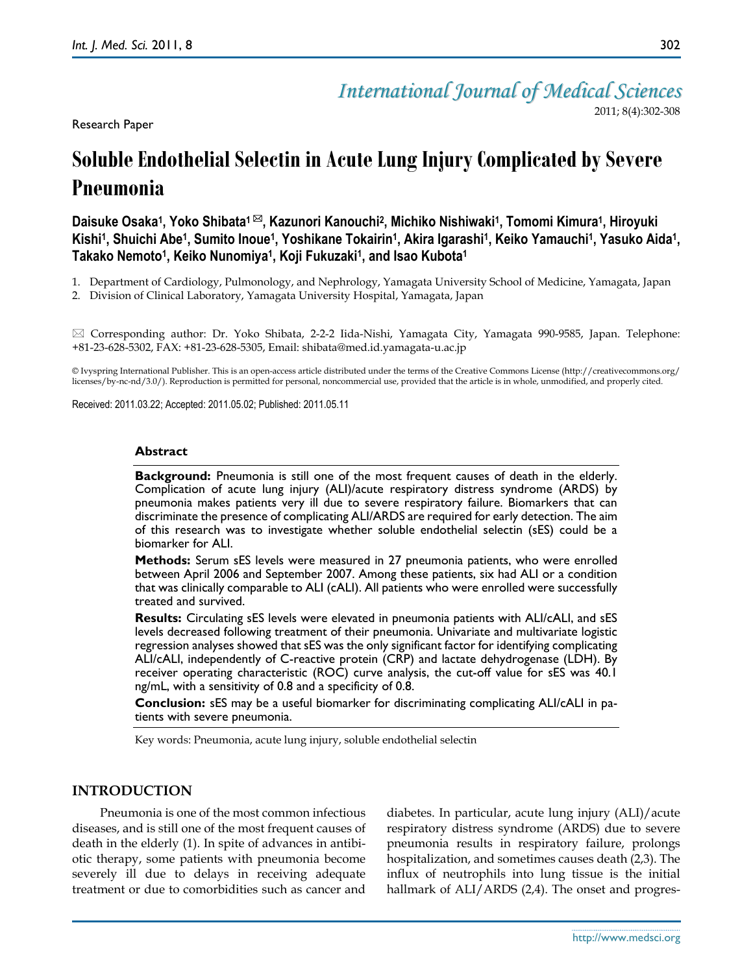Research Paper

## *International Journal of Medical Sciences*

2011; 8(4):302-308

# **Soluble Endothelial Selectin in Acute Lung Injury Complicated by Severe Pneumonia**

**Daisuke Osaka<sup>1</sup> , Yoko Shibata<sup>1</sup> , Kazunori Kanouchi<sup>2</sup> , Michiko Nishiwaki<sup>1</sup> , Tomomi Kimura<sup>1</sup> , Hiroyuki**  Kishi<sup>1</sup>, Shuichi Abe<sup>1</sup>, Sumito Inoue<sup>1</sup>, Yoshikane Tokairin<sup>1</sup>, Akira Igarashi<sup>1</sup>, Keiko Yamauchi<sup>1</sup>, Yasuko Aida<sup>1</sup>, **Takako Nemoto<sup>1</sup> , Keiko Nunomiya<sup>1</sup> , Koji Fukuzaki<sup>1</sup> , and Isao Kubota<sup>1</sup>**

1. Department of Cardiology, Pulmonology, and Nephrology, Yamagata University School of Medicine, Yamagata, Japan

2. Division of Clinical Laboratory, Yamagata University Hospital, Yamagata, Japan

 Corresponding author: Dr. Yoko Shibata, 2-2-2 Iida-Nishi, Yamagata City, Yamagata 990-9585, Japan. Telephone: +81-23-628-5302, FAX: +81-23-628-5305, Email: shibata@med.id.yamagata-u.ac.jp

© Ivyspring International Publisher. This is an open-access article distributed under the terms of the Creative Commons License (http://creativecommons.org/ licenses/by-nc-nd/3.0/). Reproduction is permitted for personal, noncommercial use, provided that the article is in whole, unmodified, and properly cited.

Received: 2011.03.22; Accepted: 2011.05.02; Published: 2011.05.11

#### **Abstract**

**Background:** Pneumonia is still one of the most frequent causes of death in the elderly. Complication of acute lung injury (ALI)/acute respiratory distress syndrome (ARDS) by pneumonia makes patients very ill due to severe respiratory failure. Biomarkers that can discriminate the presence of complicating ALI/ARDS are required for early detection. The aim of this research was to investigate whether soluble endothelial selectin (sES) could be a biomarker for ALI.

**Methods:** Serum sES levels were measured in 27 pneumonia patients, who were enrolled between April 2006 and September 2007. Among these patients, six had ALI or a condition that was clinically comparable to ALI (cALI). All patients who were enrolled were successfully treated and survived.

**Results:** Circulating sES levels were elevated in pneumonia patients with ALI/cALI, and sES levels decreased following treatment of their pneumonia. Univariate and multivariate logistic regression analyses showed that sES was the only significant factor for identifying complicating ALI/cALI, independently of C-reactive protein (CRP) and lactate dehydrogenase (LDH). By receiver operating characteristic (ROC) curve analysis, the cut-off value for sES was 40.1 ng/mL, with a sensitivity of 0.8 and a specificity of 0.8.

**Conclusion:** sES may be a useful biomarker for discriminating complicating ALI/cALI in patients with severe pneumonia.

Key words: Pneumonia, acute lung injury, soluble endothelial selectin

### **INTRODUCTION**

Pneumonia is one of the most common infectious diseases, and is still one of the most frequent causes of death in the elderly (1). In spite of advances in antibiotic therapy, some patients with pneumonia become severely ill due to delays in receiving adequate treatment or due to comorbidities such as cancer and

diabetes. In particular, acute lung injury (ALI)/acute respiratory distress syndrome (ARDS) due to severe pneumonia results in respiratory failure, prolongs hospitalization, and sometimes causes death (2,3). The influx of neutrophils into lung tissue is the initial hallmark of ALI/ARDS (2,4). The onset and progres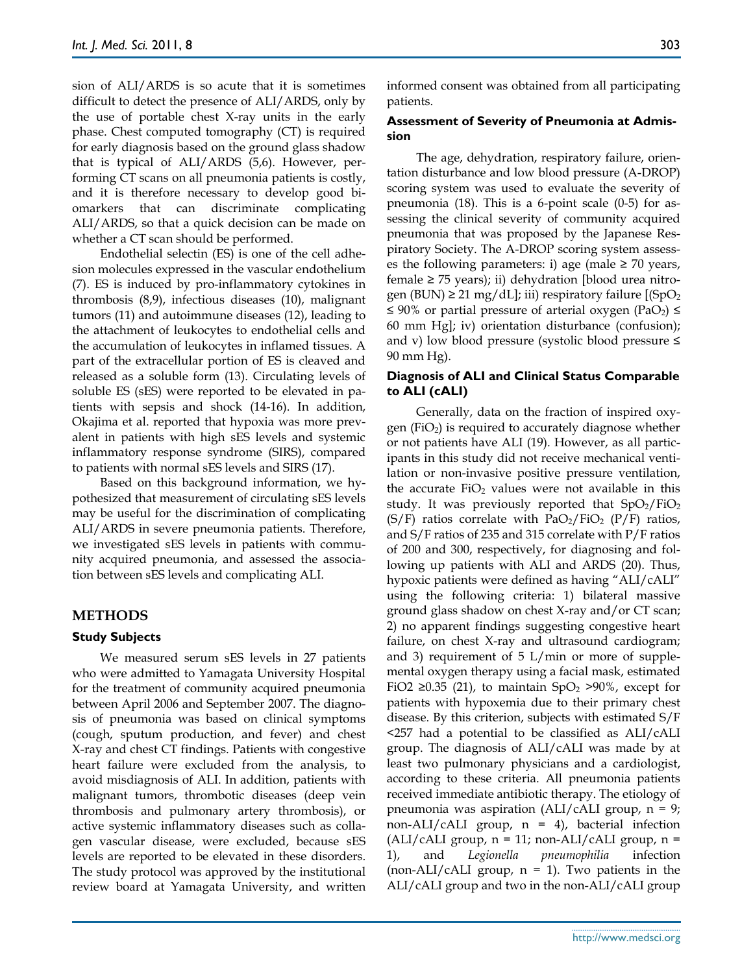sion of ALI/ARDS is so acute that it is sometimes difficult to detect the presence of ALI/ARDS, only by the use of portable chest X-ray units in the early phase. Chest computed tomography (CT) is required for early diagnosis based on the ground glass shadow that is typical of ALI/ARDS (5,6). However, performing CT scans on all pneumonia patients is costly, and it is therefore necessary to develop good biomarkers that can discriminate complicating ALI/ARDS, so that a quick decision can be made on whether a CT scan should be performed.

Endothelial selectin (ES) is one of the cell adhesion molecules expressed in the vascular endothelium (7). ES is induced by pro-inflammatory cytokines in thrombosis (8,9), infectious diseases (10), malignant tumors (11) and autoimmune diseases (12), leading to the attachment of leukocytes to endothelial cells and the accumulation of leukocytes in inflamed tissues. A part of the extracellular portion of ES is cleaved and released as a soluble form (13). Circulating levels of soluble ES (sES) were reported to be elevated in patients with sepsis and shock (14-16). In addition, Okajima et al. reported that hypoxia was more prevalent in patients with high sES levels and systemic inflammatory response syndrome (SIRS), compared to patients with normal sES levels and SIRS (17).

Based on this background information, we hypothesized that measurement of circulating sES levels may be useful for the discrimination of complicating ALI/ARDS in severe pneumonia patients. Therefore, we investigated sES levels in patients with community acquired pneumonia, and assessed the association between sES levels and complicating ALI.

#### **METHODS**

#### **Study Subjects**

We measured serum sES levels in 27 patients who were admitted to Yamagata University Hospital for the treatment of community acquired pneumonia between April 2006 and September 2007. The diagnosis of pneumonia was based on clinical symptoms (cough, sputum production, and fever) and chest X-ray and chest CT findings. Patients with congestive heart failure were excluded from the analysis, to avoid misdiagnosis of ALI. In addition, patients with malignant tumors, thrombotic diseases (deep vein thrombosis and pulmonary artery thrombosis), or active systemic inflammatory diseases such as collagen vascular disease, were excluded, because sES levels are reported to be elevated in these disorders. The study protocol was approved by the institutional review board at Yamagata University, and written informed consent was obtained from all participating patients.

#### **Assessment of Severity of Pneumonia at Admission**

The age, dehydration, respiratory failure, orientation disturbance and low blood pressure (A-DROP) scoring system was used to evaluate the severity of pneumonia (18). This is a 6-point scale (0-5) for assessing the clinical severity of community acquired pneumonia that was proposed by the Japanese Respiratory Society. The A-DROP scoring system assesses the following parameters: i) age (male  $\geq$  70 years, female  $\geq$  75 years); ii) dehydration [blood urea nitrogen (BUN)  $\geq$  21 mg/dL]; iii) respiratory failure [(SpO<sub>2</sub>) ≤ 90% or partial pressure of arterial oxygen (PaO<sub>2</sub>) ≤ 60 mm Hg]; iv) orientation disturbance (confusion); and v) low blood pressure (systolic blood pressure  $\leq$ 90 mm Hg).

#### **Diagnosis of ALI and Clinical Status Comparable to ALI (cALI)**

Generally, data on the fraction of inspired oxygen ( $FiO<sub>2</sub>$ ) is required to accurately diagnose whether or not patients have ALI (19). However, as all participants in this study did not receive mechanical ventilation or non-invasive positive pressure ventilation, the accurate  $FiO<sub>2</sub>$  values were not available in this study. It was previously reported that  $SpO<sub>2</sub>/FiO<sub>2</sub>$  $(S/F)$  ratios correlate with PaO<sub>2</sub>/FiO<sub>2</sub> (P/F) ratios, and S/F ratios of 235 and 315 correlate with P/F ratios of 200 and 300, respectively, for diagnosing and following up patients with ALI and ARDS (20). Thus, hypoxic patients were defined as having "ALI/cALI" using the following criteria: 1) bilateral massive ground glass shadow on chest X-ray and/or CT scan; 2) no apparent findings suggesting congestive heart failure, on chest X-ray and ultrasound cardiogram; and 3) requirement of  $5 \text{ L/min}$  or more of supplemental oxygen therapy using a facial mask, estimated FiO2  $\geq$ 0.35 (21), to maintain SpO<sub>2</sub>  $\geq$ 90%, except for patients with hypoxemia due to their primary chest disease. By this criterion, subjects with estimated S/F <257 had a potential to be classified as ALI/cALI group. The diagnosis of ALI/cALI was made by at least two pulmonary physicians and a cardiologist, according to these criteria. All pneumonia patients received immediate antibiotic therapy. The etiology of pneumonia was aspiration (ALI/cALI group,  $n = 9$ ; non-ALI/cALI group,  $n = 4$ ), bacterial infection  $ALI/cALI$  group,  $n = 11$ ; non-ALI/cALI group,  $n =$ 1), and *Legionella pneumophilia* infection (non-ALI/cALI group,  $n = 1$ ). Two patients in the ALI/cALI group and two in the non-ALI/cALI group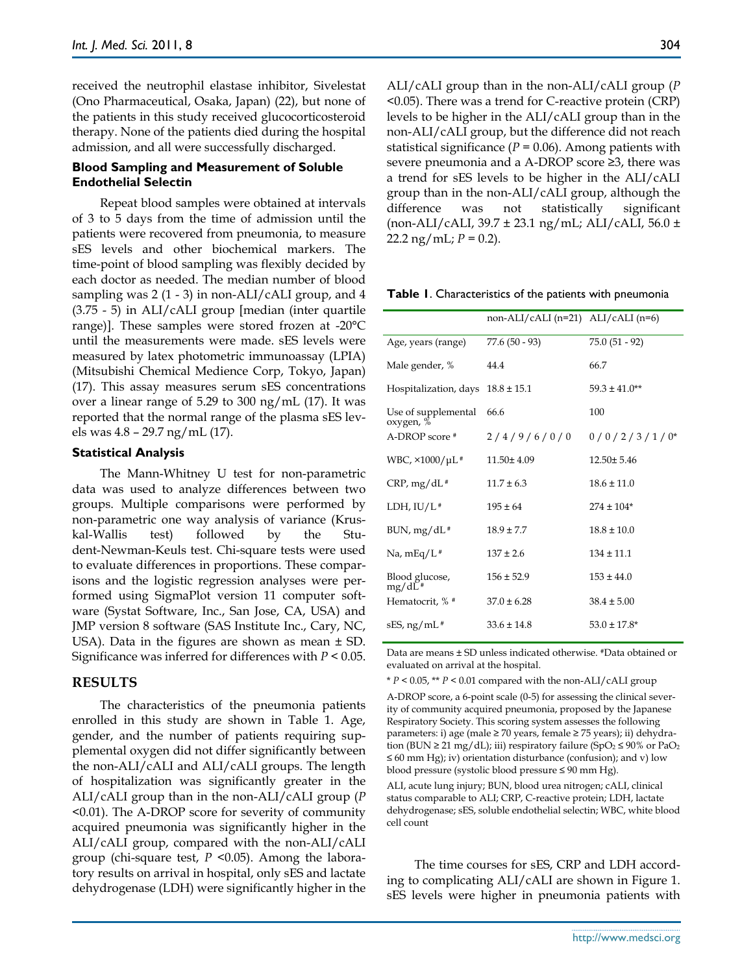received the neutrophil elastase inhibitor, Sivelestat (Ono Pharmaceutical, Osaka, Japan) (22), but none of the patients in this study received glucocorticosteroid therapy. None of the patients died during the hospital admission, and all were successfully discharged.

#### **Blood Sampling and Measurement of Soluble Endothelial Selectin**

Repeat blood samples were obtained at intervals of 3 to 5 days from the time of admission until the patients were recovered from pneumonia, to measure sES levels and other biochemical markers. The time-point of blood sampling was flexibly decided by each doctor as needed. The median number of blood sampling was  $2(1 - 3)$  in non-ALI/cALI group, and 4 (3.75 - 5) in ALI/cALI group [median (inter quartile range)]. These samples were stored frozen at -20°C until the measurements were made. sES levels were measured by latex photometric immunoassay (LPIA) (Mitsubishi Chemical Medience Corp, Tokyo, Japan) (17). This assay measures serum sES concentrations over a linear range of 5.29 to 300 ng/mL (17). It was reported that the normal range of the plasma sES levels was 4.8 – 29.7 ng/mL (17).

#### **Statistical Analysis**

The Mann-Whitney U test for non-parametric data was used to analyze differences between two groups. Multiple comparisons were performed by non-parametric one way analysis of variance (Kruskal-Wallis test) followed by the Student-Newman-Keuls test. Chi-square tests were used to evaluate differences in proportions. These comparisons and the logistic regression analyses were performed using SigmaPlot version 11 computer software (Systat Software, Inc., San Jose, CA, USA) and JMP version 8 software (SAS Institute Inc., Cary, NC, USA). Data in the figures are shown as mean ± SD. Significance was inferred for differences with *P* < 0.05.

#### **RESULTS**

The characteristics of the pneumonia patients enrolled in this study are shown in Table 1. Age, gender, and the number of patients requiring supplemental oxygen did not differ significantly between the non-ALI/cALI and ALI/cALI groups. The length of hospitalization was significantly greater in the ALI/cALI group than in the non-ALI/cALI group (*P* <0.01). The A-DROP score for severity of community acquired pneumonia was significantly higher in the ALI/cALI group, compared with the non-ALI/cALI group (chi-square test, *P* <0.05). Among the laboratory results on arrival in hospital, only sES and lactate dehydrogenase (LDH) were significantly higher in the ALI/cALI group than in the non-ALI/cALI group (*P* <0.05). There was a trend for C-reactive protein (CRP) levels to be higher in the ALI/cALI group than in the non-ALI/cALI group, but the difference did not reach statistical significance  $(P = 0.06)$ . Among patients with severe pneumonia and a A-DROP score ≥3, there was a trend for sES levels to be higher in the ALI/cALI group than in the non-ALI/cALI group, although the difference was not statistically significant (non-ALI/cALI, 39.7 ± 23.1 ng/mL; ALI/cALI, 56.0 ±  $22.2 \text{ ng/mL}$ ;  $P = 0.2$ ).

**Table 1**. Characteristics of the patients with pneumonia

|                                  | $non-ALI/cALI (n=21) ALI/cALI (n=6)$ |                   |
|----------------------------------|--------------------------------------|-------------------|
| Age, years (range)               | $77.6(50 - 93)$                      | $75.0(51 - 92)$   |
| Male gender, %                   | 44.4                                 | 66.7              |
| Hospitalization, days            | $18.8 \pm 15.1$                      | $59.3 \pm 41.0**$ |
| Use of supplemental<br>oxygen, % | 66.6                                 | 100               |
| A-DROP score #                   | 2/4/9/6/0/0                          | $0/0/2/3/1/0*$    |
| WBC, $\times$ 1000/µL#           | $11.50 \pm 4.09$                     | $12.50 \pm 5.46$  |
| $CRP, mg/dL$ #                   | $11.7 \pm 6.3$                       | $18.6 \pm 11.0$   |
| LDH, $IU/L$ <sup>#</sup>         | $195 \pm 64$                         | $274 \pm 104*$    |
| $BUN, mg/dL$ #                   | $18.9 \pm 7.7$                       | $18.8 \pm 10.0$   |
| Na, mEq/L <sup>#</sup>           | $137 \pm 2.6$                        | $134 \pm 11.1$    |
| Blood glucose,<br>$mg/dL^*$      | $156 \pm 52.9$                       | $153 \pm 44.0$    |
| Hematocrit, % #                  | $37.0 \pm 6.28$                      | $38.4 \pm 5.00$   |
| sES, ng/mL #                     | $33.6 \pm 14.8$                      | $53.0 \pm 17.8^*$ |

Data are means ± SD unless indicated otherwise. #Data obtained or evaluated on arrival at the hospital.

\* *P* < 0.05, \*\* *P* < 0.01 compared with the non-ALI/cALI group

A-DROP score, a 6-point scale (0-5) for assessing the clinical severity of community acquired pneumonia, proposed by the Japanese Respiratory Society. This scoring system assesses the following parameters: i) age (male ≥ 70 years, female ≥ 75 years); ii) dehydration (BUN  $\geq$  21 mg/dL); iii) respiratory failure (SpO<sub>2</sub>  $\leq$  90% or PaO<sub>2</sub> ≤ 60 mm Hg); iv) orientation disturbance (confusion); and v) low blood pressure (systolic blood pressure ≤ 90 mm Hg).

ALI, acute lung injury; BUN, blood urea nitrogen; cALI, clinical status comparable to ALI; CRP, C-reactive protein; LDH, lactate dehydrogenase; sES, soluble endothelial selectin; WBC, white blood cell count

The time courses for sES, CRP and LDH according to complicating ALI/cALI are shown in Figure 1. sES levels were higher in pneumonia patients with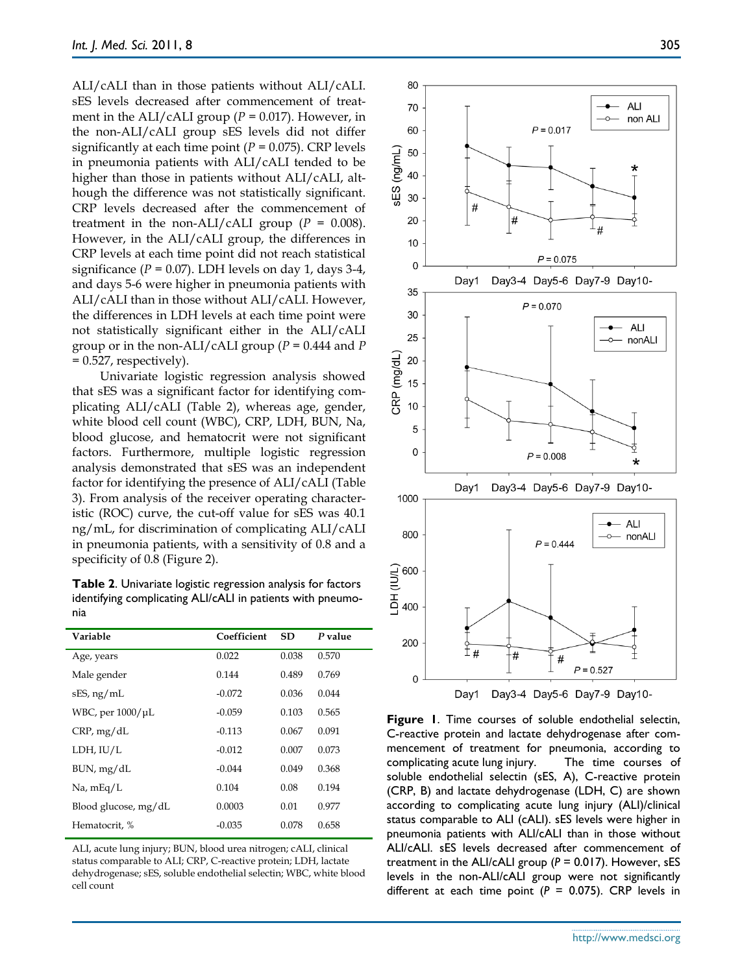ALI/cALI than in those patients without ALI/cALI. sES levels decreased after commencement of treatment in the ALI/cALI group  $(P = 0.017)$ . However, in the non-ALI/cALI group sES levels did not differ significantly at each time point (*P* = 0.075). CRP levels in pneumonia patients with ALI/cALI tended to be higher than those in patients without ALI/cALI, although the difference was not statistically significant. CRP levels decreased after the commencement of treatment in the non-ALI/cALI group  $(P = 0.008)$ . However, in the ALI/cALI group, the differences in CRP levels at each time point did not reach statistical significance ( $P = 0.07$ ). LDH levels on day 1, days 3-4, and days 5-6 were higher in pneumonia patients with ALI/cALI than in those without ALI/cALI. However, the differences in LDH levels at each time point were not statistically significant either in the ALI/cALI group or in the non-ALI/cALI group (*P* = 0.444 and *P* = 0.527, respectively).

Univariate logistic regression analysis showed that sES was a significant factor for identifying complicating ALI/cALI (Table 2), whereas age, gender, white blood cell count (WBC), CRP, LDH, BUN, Na, blood glucose, and hematocrit were not significant factors. Furthermore, multiple logistic regression analysis demonstrated that sES was an independent factor for identifying the presence of ALI/cALI (Table 3). From analysis of the receiver operating characteristic (ROC) curve, the cut-off value for sES was 40.1 ng/mL, for discrimination of complicating ALI/cALI in pneumonia patients, with a sensitivity of 0.8 and a specificity of 0.8 (Figure 2).

**Table 2**. Univariate logistic regression analysis for factors identifying complicating ALI/cALI in patients with pneumonia

| Coefficient | <b>SD</b> | P value |
|-------------|-----------|---------|
| 0.022       | 0.038     | 0.570   |
| 0.144       | 0.489     | 0.769   |
| $-0.072$    | 0.036     | 0.044   |
| $-0.059$    | 0.103     | 0.565   |
| $-0.113$    | 0.067     | 0.091   |
| $-0.012$    | 0.007     | 0.073   |
| $-0.044$    | 0.049     | 0.368   |
| 0.104       | 0.08      | 0.194   |
| 0.0003      | 0.01      | 0.977   |
| $-0.035$    | 0.078     | 0.658   |
|             |           |         |

ALI, acute lung injury; BUN, blood urea nitrogen; cALI, clinical status comparable to ALI; CRP, C-reactive protein; LDH, lactate dehydrogenase; sES, soluble endothelial selectin; WBC, white blood cell count



**Figure 1**. Time courses of soluble endothelial selectin, C-reactive protein and lactate dehydrogenase after commencement of treatment for pneumonia, according to complicating acute lung injury. The time courses of soluble endothelial selectin (sES, A), C-reactive protein (CRP, B) and lactate dehydrogenase (LDH, C) are shown according to complicating acute lung injury (ALI)/clinical status comparable to ALI (cALI). sES levels were higher in pneumonia patients with ALI/cALI than in those without ALI/cALI. sES levels decreased after commencement of treatment in the ALI/cALI group (*P* = 0.017). However, sES levels in the non-ALI/cALI group were not significantly different at each time point  $(P = 0.075)$ . CRP levels in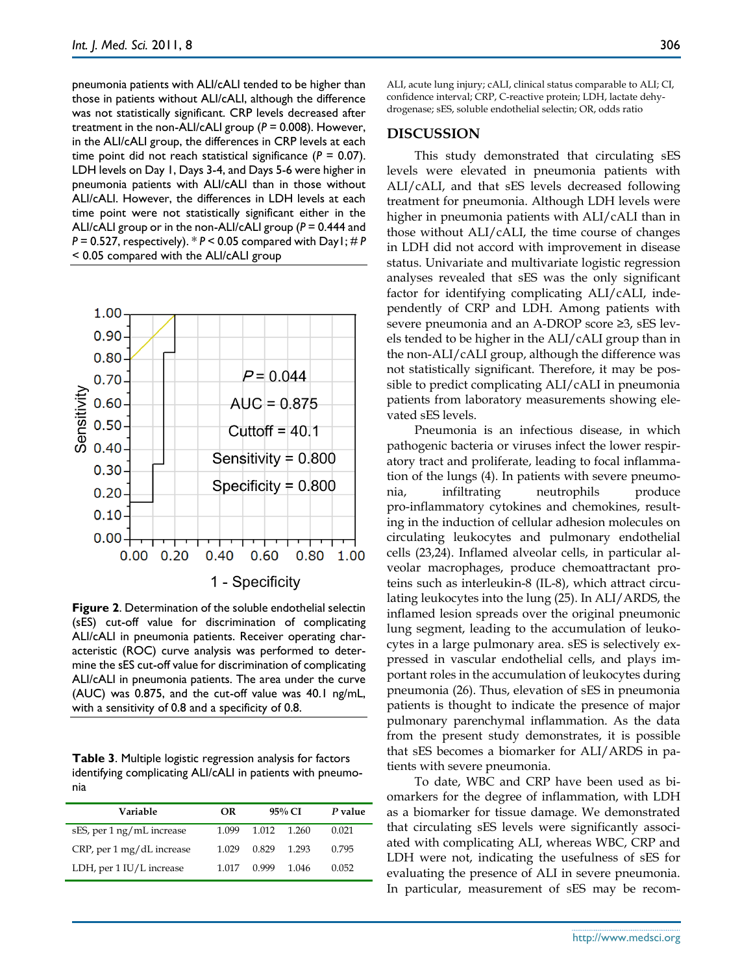pneumonia patients with ALI/cALI tended to be higher than those in patients without ALI/cALI, although the difference was not statistically significant. CRP levels decreased after treatment in the non-ALI/cALI group (*P* = 0.008). However, in the ALI/cALI group, the differences in CRP levels at each time point did not reach statistical significance  $(P = 0.07)$ . LDH levels on Day 1, Days 3-4, and Days 5-6 were higher in pneumonia patients with ALI/cALI than in those without ALI/cALI. However, the differences in LDH levels at each time point were not statistically significant either in the ALI/cALI group or in the non-ALI/cALI group (*P* = 0.444 and *P* = 0.527, respectively). \* *P* < 0.05 compared with Day1; # *P* < 0.05 compared with the ALI/cALI group



**Figure 2**. Determination of the soluble endothelial selectin (sES) cut-off value for discrimination of complicating ALI/cALI in pneumonia patients. Receiver operating characteristic (ROC) curve analysis was performed to determine the sES cut-off value for discrimination of complicating ALI/cALI in pneumonia patients. The area under the curve (AUC) was 0.875, and the cut-off value was 40.1 ng/mL, with a sensitivity of 0.8 and a specificity of 0.8.

**Table 3**. Multiple logistic regression analysis for factors identifying complicating ALI/cALI in patients with pneumonia

| Variable                  | OR    |       | $95\%$ CI | P value |
|---------------------------|-------|-------|-----------|---------|
| sES, per 1 ng/mL increase | 1.099 | 1.012 | 1 260     | 0.021   |
| CRP, per 1 mg/dL increase | 1.029 | 0.829 | 1 293     | 0.795   |
| LDH, per 1 IU/L increase  | 1 017 | 0.999 | 1 046     | 0.052   |

ALI, acute lung injury; cALI, clinical status comparable to ALI; CI, confidence interval; CRP, C-reactive protein; LDH, lactate dehydrogenase; sES, soluble endothelial selectin; OR, odds ratio

#### **DISCUSSION**

This study demonstrated that circulating sES levels were elevated in pneumonia patients with ALI/cALI, and that sES levels decreased following treatment for pneumonia. Although LDH levels were higher in pneumonia patients with ALI/cALI than in those without ALI/cALI, the time course of changes in LDH did not accord with improvement in disease status. Univariate and multivariate logistic regression analyses revealed that sES was the only significant factor for identifying complicating ALI/cALI, independently of CRP and LDH. Among patients with severe pneumonia and an A-DROP score ≥3, sES levels tended to be higher in the ALI/cALI group than in the non-ALI/cALI group, although the difference was not statistically significant. Therefore, it may be possible to predict complicating ALI/cALI in pneumonia patients from laboratory measurements showing elevated sES levels.

Pneumonia is an infectious disease, in which pathogenic bacteria or viruses infect the lower respiratory tract and proliferate, leading to focal inflammation of the lungs (4). In patients with severe pneumonia, infiltrating neutrophils produce pro-inflammatory cytokines and chemokines, resulting in the induction of cellular adhesion molecules on circulating leukocytes and pulmonary endothelial cells (23,24). Inflamed alveolar cells, in particular alveolar macrophages, produce chemoattractant proteins such as interleukin-8 (IL-8), which attract circulating leukocytes into the lung (25). In ALI/ARDS, the inflamed lesion spreads over the original pneumonic lung segment, leading to the accumulation of leukocytes in a large pulmonary area. sES is selectively expressed in vascular endothelial cells, and plays important roles in the accumulation of leukocytes during pneumonia (26). Thus, elevation of sES in pneumonia patients is thought to indicate the presence of major pulmonary parenchymal inflammation. As the data from the present study demonstrates, it is possible that sES becomes a biomarker for ALI/ARDS in patients with severe pneumonia.

To date, WBC and CRP have been used as biomarkers for the degree of inflammation, with LDH as a biomarker for tissue damage. We demonstrated that circulating sES levels were significantly associated with complicating ALI, whereas WBC, CRP and LDH were not, indicating the usefulness of sES for evaluating the presence of ALI in severe pneumonia. In particular, measurement of sES may be recom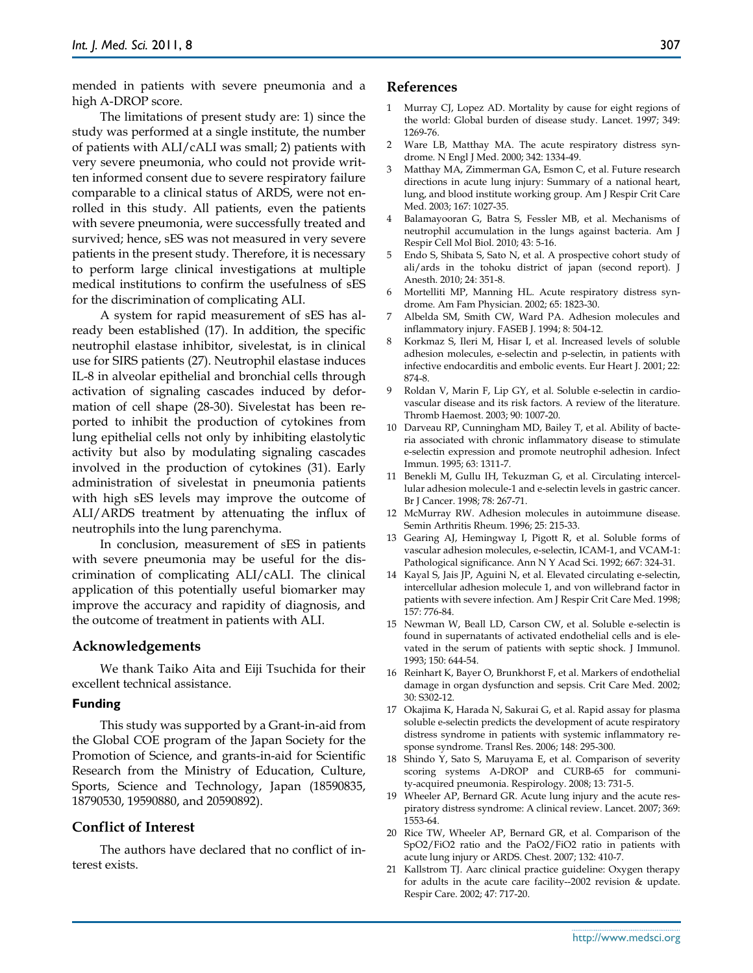mended in patients with severe pneumonia and a high A-DROP score.

The limitations of present study are: 1) since the study was performed at a single institute, the number of patients with ALI/cALI was small; 2) patients with very severe pneumonia, who could not provide written informed consent due to severe respiratory failure comparable to a clinical status of ARDS, were not enrolled in this study. All patients, even the patients with severe pneumonia, were successfully treated and survived; hence, sES was not measured in very severe patients in the present study. Therefore, it is necessary to perform large clinical investigations at multiple medical institutions to confirm the usefulness of sES for the discrimination of complicating ALI.

A system for rapid measurement of sES has already been established (17). In addition, the specific neutrophil elastase inhibitor, sivelestat, is in clinical use for SIRS patients (27). Neutrophil elastase induces IL-8 in alveolar epithelial and bronchial cells through activation of signaling cascades induced by deformation of cell shape (28-30). Sivelestat has been reported to inhibit the production of cytokines from lung epithelial cells not only by inhibiting elastolytic activity but also by modulating signaling cascades involved in the production of cytokines (31). Early administration of sivelestat in pneumonia patients with high sES levels may improve the outcome of ALI/ARDS treatment by attenuating the influx of neutrophils into the lung parenchyma.

In conclusion, measurement of sES in patients with severe pneumonia may be useful for the discrimination of complicating ALI/cALI. The clinical application of this potentially useful biomarker may improve the accuracy and rapidity of diagnosis, and the outcome of treatment in patients with ALI.

#### **Acknowledgements**

We thank Taiko Aita and Eiji Tsuchida for their excellent technical assistance.

#### **Funding**

This study was supported by a Grant-in-aid from the Global COE program of the Japan Society for the Promotion of Science, and grants-in-aid for Scientific Research from the Ministry of Education, Culture, Sports, Science and Technology, Japan (18590835, 18790530, 19590880, and 20590892).

#### **Conflict of Interest**

The authors have declared that no conflict of interest exists.

#### **References**

- Murray CJ, Lopez AD. Mortality by cause for eight regions of the world: Global burden of disease study. Lancet. 1997; 349: 1269-76.
- 2 Ware LB, Matthay MA. The acute respiratory distress syndrome. N Engl J Med. 2000; 342: 1334-49.
- 3 Matthay MA, Zimmerman GA, Esmon C, et al. Future research directions in acute lung injury: Summary of a national heart, lung, and blood institute working group. Am J Respir Crit Care Med. 2003; 167: 1027-35.
- 4 Balamayooran G, Batra S, Fessler MB, et al. Mechanisms of neutrophil accumulation in the lungs against bacteria. Am J Respir Cell Mol Biol. 2010; 43: 5-16.
- 5 Endo S, Shibata S, Sato N, et al. A prospective cohort study of ali/ards in the tohoku district of japan (second report). J Anesth. 2010; 24: 351-8.
- 6 Mortelliti MP, Manning HL. Acute respiratory distress syndrome. Am Fam Physician. 2002; 65: 1823-30.
- 7 Albelda SM, Smith CW, Ward PA. Adhesion molecules and inflammatory injury. FASEB J. 1994; 8: 504-12.
- 8 Korkmaz S, Ileri M, Hisar I, et al. Increased levels of soluble adhesion molecules, e-selectin and p-selectin, in patients with infective endocarditis and embolic events. Eur Heart J. 2001; 22: 874-8.
- 9 Roldan V, Marin F, Lip GY, et al. Soluble e-selectin in cardiovascular disease and its risk factors. A review of the literature. Thromb Haemost. 2003; 90: 1007-20.
- 10 Darveau RP, Cunningham MD, Bailey T, et al. Ability of bacteria associated with chronic inflammatory disease to stimulate e-selectin expression and promote neutrophil adhesion. Infect Immun. 1995; 63: 1311-7.
- 11 Benekli M, Gullu IH, Tekuzman G, et al. Circulating intercellular adhesion molecule-1 and e-selectin levels in gastric cancer. Br J Cancer. 1998; 78: 267-71.
- 12 McMurray RW. Adhesion molecules in autoimmune disease. Semin Arthritis Rheum. 1996; 25: 215-33.
- 13 Gearing AJ, Hemingway I, Pigott R, et al. Soluble forms of vascular adhesion molecules, e-selectin, ICAM-1, and VCAM-1: Pathological significance. Ann N Y Acad Sci. 1992; 667: 324-31.
- 14 Kayal S, Jais JP, Aguini N, et al. Elevated circulating e-selectin, intercellular adhesion molecule 1, and von willebrand factor in patients with severe infection. Am J Respir Crit Care Med. 1998; 157: 776-84.
- 15 Newman W, Beall LD, Carson CW, et al. Soluble e-selectin is found in supernatants of activated endothelial cells and is elevated in the serum of patients with septic shock. J Immunol. 1993; 150: 644-54.
- 16 Reinhart K, Bayer O, Brunkhorst F, et al. Markers of endothelial damage in organ dysfunction and sepsis. Crit Care Med. 2002; 30: S302-12.
- 17 Okajima K, Harada N, Sakurai G, et al. Rapid assay for plasma soluble e-selectin predicts the development of acute respiratory distress syndrome in patients with systemic inflammatory response syndrome. Transl Res. 2006; 148: 295-300.
- 18 Shindo Y, Sato S, Maruyama E, et al. Comparison of severity scoring systems A-DROP and CURB-65 for community-acquired pneumonia. Respirology. 2008; 13: 731-5.
- 19 Wheeler AP, Bernard GR. Acute lung injury and the acute respiratory distress syndrome: A clinical review. Lancet. 2007; 369: 1553-64.
- 20 Rice TW, Wheeler AP, Bernard GR, et al. Comparison of the SpO2/FiO2 ratio and the PaO2/FiO2 ratio in patients with acute lung injury or ARDS. Chest. 2007; 132: 410-7.
- 21 Kallstrom TJ. Aarc clinical practice guideline: Oxygen therapy for adults in the acute care facility--2002 revision & update. Respir Care. 2002; 47: 717-20.